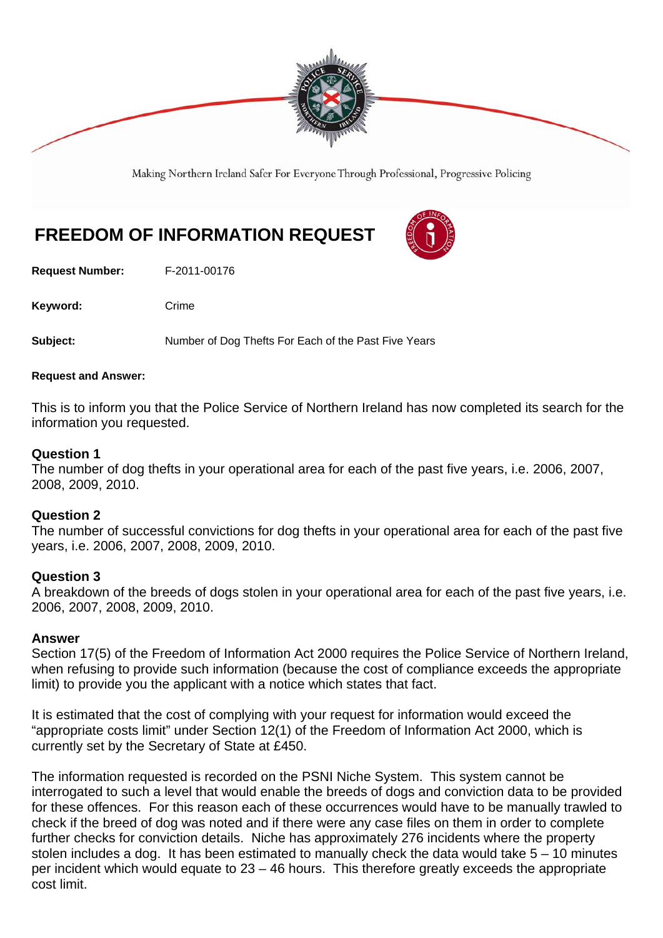

Making Northern Ireland Safer For Everyone Through Professional, Progressive Policing

# **FREEDOM OF INFORMATION REQUEST**

**Request Number:** F-2011-00176

Keyword: Crime

**Subject:** Number of Dog Thefts For Each of the Past Five Years

## **Request and Answer:**

This is to inform you that the Police Service of Northern Ireland has now completed its search for the information you requested.

## **Question 1**

The number of dog thefts in your operational area for each of the past five years, i.e. 2006, 2007, 2008, 2009, 2010.

## **Question 2**

The number of successful convictions for dog thefts in your operational area for each of the past five years, i.e. 2006, 2007, 2008, 2009, 2010.

## **Question 3**

A breakdown of the breeds of dogs stolen in your operational area for each of the past five years, i.e. 2006, 2007, 2008, 2009, 2010.

## **Answer**

Section 17(5) of the Freedom of Information Act 2000 requires the Police Service of Northern Ireland, when refusing to provide such information (because the cost of compliance exceeds the appropriate limit) to provide you the applicant with a notice which states that fact.

It is estimated that the cost of complying with your request for information would exceed the "appropriate costs limit" under Section 12(1) of the Freedom of Information Act 2000, which is currently set by the Secretary of State at £450.

The information requested is recorded on the PSNI Niche System. This system cannot be interrogated to such a level that would enable the breeds of dogs and conviction data to be provided for these offences. For this reason each of these occurrences would have to be manually trawled to check if the breed of dog was noted and if there were any case files on them in order to complete further checks for conviction details. Niche has approximately 276 incidents where the property stolen includes a dog. It has been estimated to manually check the data would take 5 – 10 minutes per incident which would equate to 23 – 46 hours. This therefore greatly exceeds the appropriate cost limit.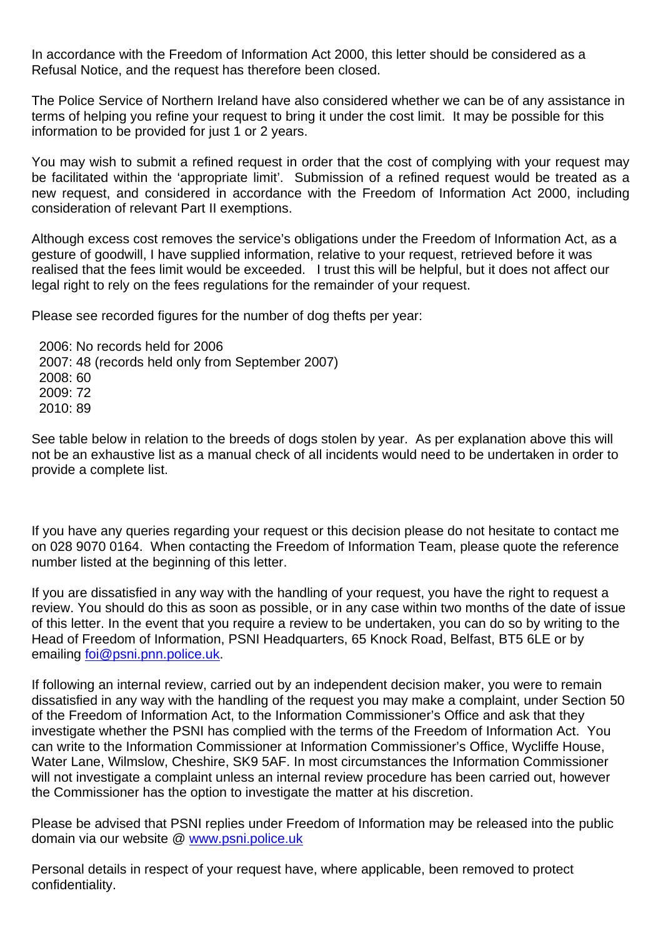In accordance with the Freedom of Information Act 2000, this letter should be considered as a Refusal Notice, and the request has therefore been closed.

The Police Service of Northern Ireland have also considered whether we can be of any assistance in terms of helping you refine your request to bring it under the cost limit. It may be possible for this information to be provided for just 1 or 2 years.

You may wish to submit a refined request in order that the cost of complying with your request may be facilitated within the 'appropriate limit'. Submission of a refined request would be treated as a new request, and considered in accordance with the Freedom of Information Act 2000, including consideration of relevant Part II exemptions.

Although excess cost removes the service's obligations under the Freedom of Information Act, as a gesture of goodwill, I have supplied information, relative to your request, retrieved before it was realised that the fees limit would be exceeded. I trust this will be helpful, but it does not affect our legal right to rely on the fees regulations for the remainder of your request.

Please see recorded figures for the number of dog thefts per year:

 2006: No records held for 2006 2007: 48 (records held only from September 2007) 2008: 60 2009: 72 2010: 89

See table below in relation to the breeds of dogs stolen by year. As per explanation above this will not be an exhaustive list as a manual check of all incidents would need to be undertaken in order to provide a complete list.

If you have any queries regarding your request or this decision please do not hesitate to contact me on 028 9070 0164. When contacting the Freedom of Information Team, please quote the reference number listed at the beginning of this letter.

If you are dissatisfied in any way with the handling of your request, you have the right to request a review. You should do this as soon as possible, or in any case within two months of the date of issue of this letter. In the event that you require a review to be undertaken, you can do so by writing to the Head of Freedom of Information, PSNI Headquarters, 65 Knock Road, Belfast, BT5 6LE or by emailing foi@psni.pnn.police.uk.

If following an internal review, carried out by an independent decision maker, you were to remain dissatisfied in any way with the handling of the request you may make a complaint, under Section 50 of the Freedom of Information Act, to the Information Commissioner's Office and ask that they investigate whether the PSNI has complied with the terms of the Freedom of Information Act. You can write to the Information Commissioner at Information Commissioner's Office, Wycliffe House, Water Lane, Wilmslow, Cheshire, SK9 5AF. In most circumstances the Information Commissioner will not investigate a complaint unless an internal review procedure has been carried out, however the Commissioner has the option to investigate the matter at his discretion.

Please be advised that PSNI replies under Freedom of Information may be released into the public domain via our website @ www.psni.police.uk

Personal details in respect of your request have, where applicable, been removed to protect confidentiality.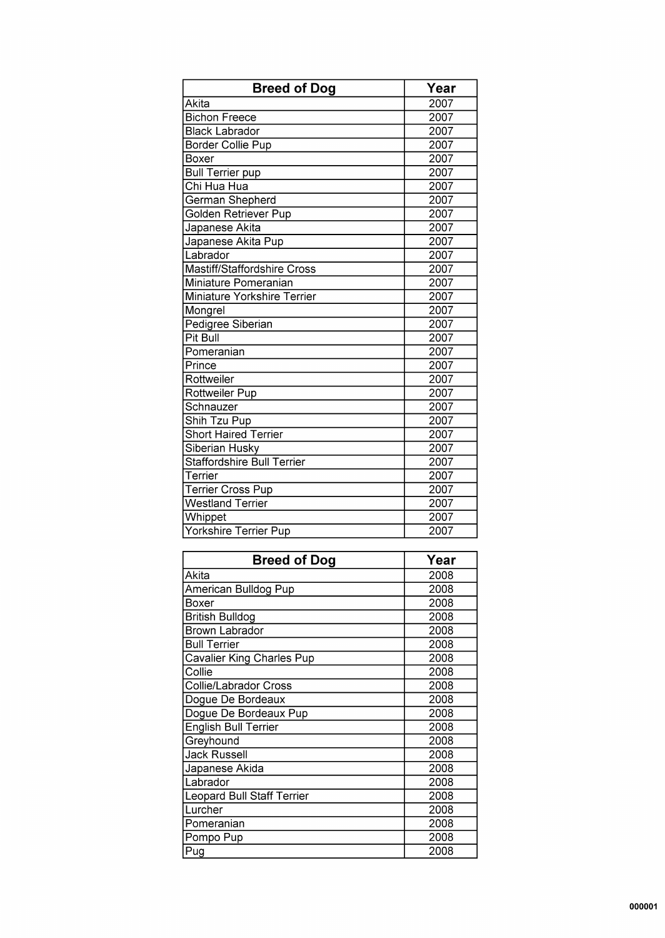| <b>Breed of Dog</b>                | Year              |
|------------------------------------|-------------------|
| Akita                              | 2007              |
| <b>Bichon Freece</b>               | 2007              |
| <b>Black Labrador</b>              | 2007              |
| <b>Border Collie Pup</b>           | 2007              |
| <b>Boxer</b>                       | 2007              |
| <b>Bull Terrier pup</b>            | 2007              |
| Chi Hua Hua                        | 2007              |
| German Shepherd                    | 2007              |
| Golden Retriever Pup               | 2007              |
| Japanese Akita                     | 2007              |
| Japanese Akita Pup                 | 2007              |
| Labrador                           | 2007              |
| <b>Mastiff/Staffordshire Cross</b> | 2007              |
| Miniature Pomeranian               | 2007              |
| Miniature Yorkshire Terrier        | 2007              |
| Mongrel                            | 2007              |
| <b>Pedigree Siberian</b>           | 2007              |
| <b>Pit Bull</b>                    | $\overline{2007}$ |
| Pomeranian                         | 2007              |
| Prince                             | 2007              |
| Rottweiler                         | 2007              |
| Rottweiler Pup                     | 2007              |
| Schnauzer                          | 2007              |
| Shih Tzu Pup                       | 2007              |
| <b>Short Haired Terrier</b>        | 2007              |
| Siberian Husky                     | 2007              |
| <b>Staffordshire Bull Terrier</b>  | 2007              |
| Terrier                            | 2007              |
| <b>Terrier Cross Pup</b>           | 2007              |
| <b>Westland Terrier</b>            | 2007              |
| Whippet                            | 2007              |
| Yorkshire Terrier Pup              | 2007              |

| <b>Breed of Dog</b>               | Year |
|-----------------------------------|------|
| Akita                             | 2008 |
| American Bulldog Pup              | 2008 |
| Boxer                             | 2008 |
| <b>British Bulldog</b>            | 2008 |
| <b>Brown Labrador</b>             | 2008 |
| <b>Bull Terrier</b>               | 2008 |
| <b>Cavalier King Charles Pup</b>  | 2008 |
| Collie                            | 2008 |
| <b>Collie/Labrador Cross</b>      | 2008 |
| Dogue De Bordeaux                 | 2008 |
| Dogue De Bordeaux Pup             | 2008 |
| English Bull Terrier              | 2008 |
| Greyhound                         | 2008 |
| <b>Jack Russell</b>               | 2008 |
| Japanese Akida                    | 2008 |
| Labrador                          | 2008 |
| <b>Leopard Bull Staff Terrier</b> | 2008 |
| Lurcher                           | 2008 |
| Pomeranian                        | 2008 |
| Pompo Pup                         | 2008 |
| Pug                               | 2008 |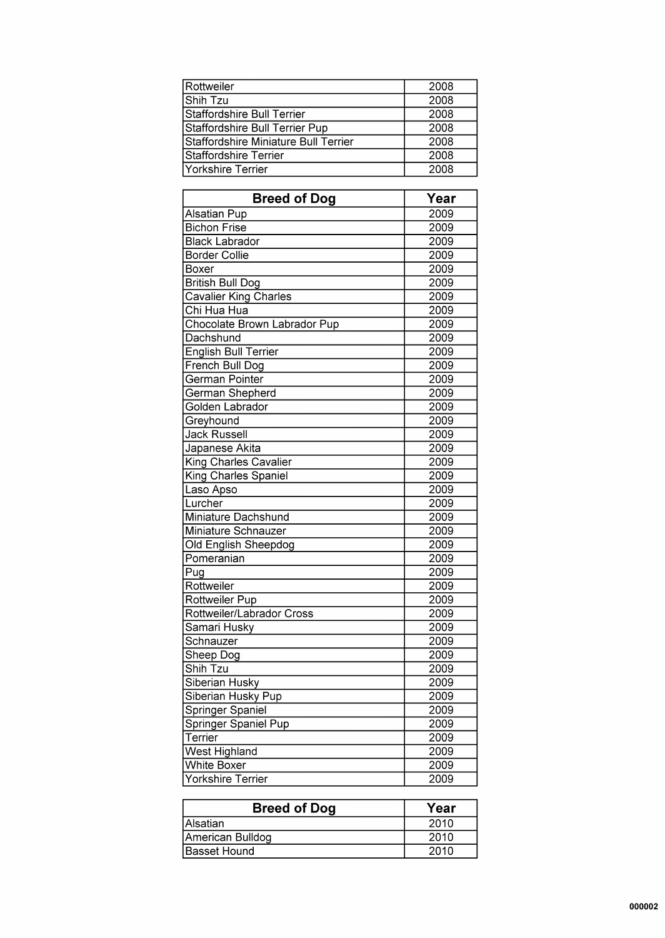| Rottweiler                           | 2008 |
|--------------------------------------|------|
| Shih Tzu                             | 2008 |
| Staffordshire Bull Terrier           | 2008 |
| Staffordshire Bull Terrier Pup       | 2008 |
| Staffordshire Miniature Bull Terrier | 2008 |
| Staffordshire Terrier                | 2008 |
| Yorkshire Terrier                    | 2008 |

| <b>Breed of Dog</b>          | Year             |
|------------------------------|------------------|
| <b>Alsatian Pup</b>          | 2009             |
| <b>Bichon Frise</b>          | 2009             |
| <b>Black Labrador</b>        | 2009             |
| <b>Border Collie</b>         | 2009             |
| Boxer                        | 2009             |
| <b>British Bull Dog</b>      | 2009             |
| <b>Cavalier King Charles</b> | 2009             |
| Chi Hua Hua                  | 2009             |
| Chocolate Brown Labrador Pup | 2009             |
| Dachshund                    | 2009             |
| <b>English Bull Terrier</b>  | 2009             |
| French Bull Dog              | 2009             |
| German Pointer               | 2009             |
| German Shepherd              | 2009             |
| Golden Labrador              | 2009             |
| Greyhound                    | 2009             |
| <b>Jack Russell</b>          | 2009             |
| Japanese Akita               | 2009             |
| King Charles Cavalier        | 2009             |
| <b>King Charles Spaniel</b>  | 2009             |
| Laso Apso                    | 2009             |
| Lurcher                      | 2009             |
| Miniature Dachshund          | 2009             |
| Miniature Schnauzer          | $\frac{1}{2009}$ |
| Old English Sheepdog         | 2009             |
| Pomeranian                   | 2009             |
| $\overline{P}$ ug            | 2009             |
| Rottweiler                   | 2009             |
| Rottweiler Pup               | 2009             |
| Rottweiler/Labrador Cross    | 2009             |
| Samari Husky                 | 2009             |
| Schnauzer                    | 2009             |
| Sheep Dog                    | 2009             |
| Shih Tzu                     | 2009             |
| Siberian Husky               | 2009             |
| Siberian Husky Pup           | 2009             |
| Springer Spaniel             | 2009             |
| Springer Spaniel Pup         | 2009             |
| Terrier                      | 2009             |
| <b>West Highland</b>         | 2009             |
| <b>White Boxer</b>           | 2009             |
| Yorkshire Terrier            | 2009             |

| <b>Breed of Dog</b> | Year |
|---------------------|------|
| <b>Alsatian</b>     | 2010 |
| American Bulldog    | 2010 |
| <b>Basset Hound</b> | 2010 |